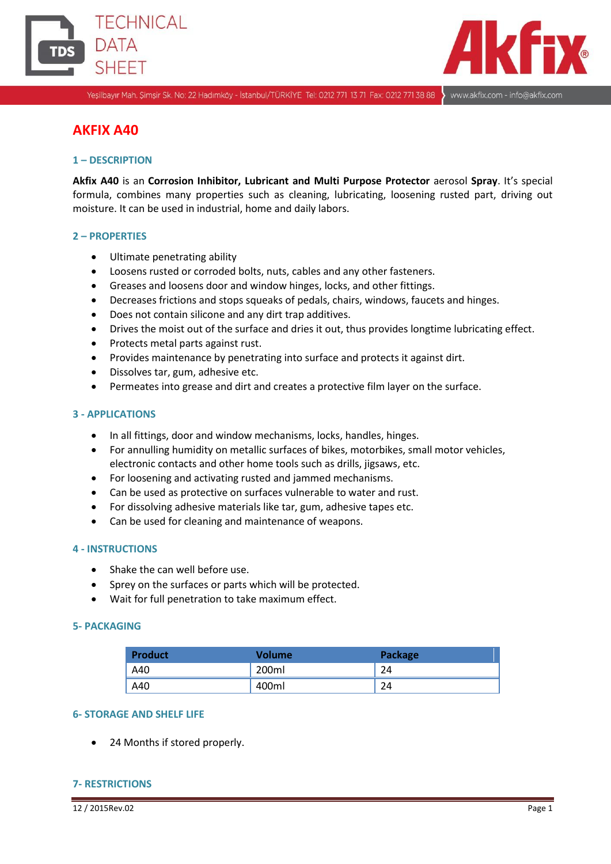



www.akfix.com - info@akfix.com

Yeşilbayır Mah. Şimşir Sk. No: 22 Hadımköy - İstanbul/TÜRKİYE Tel: 0212 771 13 71 Fax: 0212 771 38 88

# **AKFIX A40**

### **1 – DESCRIPTION**

**Akfix A40** is an **Corrosion Inhibitor, Lubricant and Multi Purpose Protector** aerosol **Spray**. It's special formula, combines many properties such as cleaning, lubricating, loosening rusted part, driving out moisture. It can be used in industrial, home and daily labors.

#### **2 – PROPERTIES**

- Ultimate penetrating ability
- Loosens rusted or corroded bolts, nuts, cables and any other fasteners.
- Greases and loosens door and window hinges, locks, and other fittings.
- Decreases frictions and stops squeaks of pedals, chairs, windows, faucets and hinges.
- Does not contain silicone and any dirt trap additives.
- Drives the moist out of the surface and dries it out, thus provides longtime lubricating effect.
- Protects metal parts against rust.
- Provides maintenance by penetrating into surface and protects it against dirt.
- Dissolves tar, gum, adhesive etc.
- Permeates into grease and dirt and creates a protective film layer on the surface.

#### **3 - APPLICATIONS**

- In all fittings, door and window mechanisms, locks, handles, hinges.
- For annulling humidity on metallic surfaces of bikes, motorbikes, small motor vehicles, electronic contacts and other home tools such as drills, jigsaws, etc.
- For loosening and activating rusted and jammed mechanisms.
- Can be used as protective on surfaces vulnerable to water and rust.
- For dissolving adhesive materials like tar, gum, adhesive tapes etc.
- Can be used for cleaning and maintenance of weapons.

#### **4 - INSTRUCTIONS**

- Shake the can well before use.
- Sprey on the surfaces or parts which will be protected.
- Wait for full penetration to take maximum effect.

#### **5- PACKAGING**

| <b>Product</b> | <b>Volume</b> | <b>Package</b> |
|----------------|---------------|----------------|
| A40            | 200ml         | 24             |
| A40            | 400ml         | 24             |

#### **6- STORAGE AND SHELF LIFE**

24 Months if stored properly.

#### **7- RESTRICTIONS**